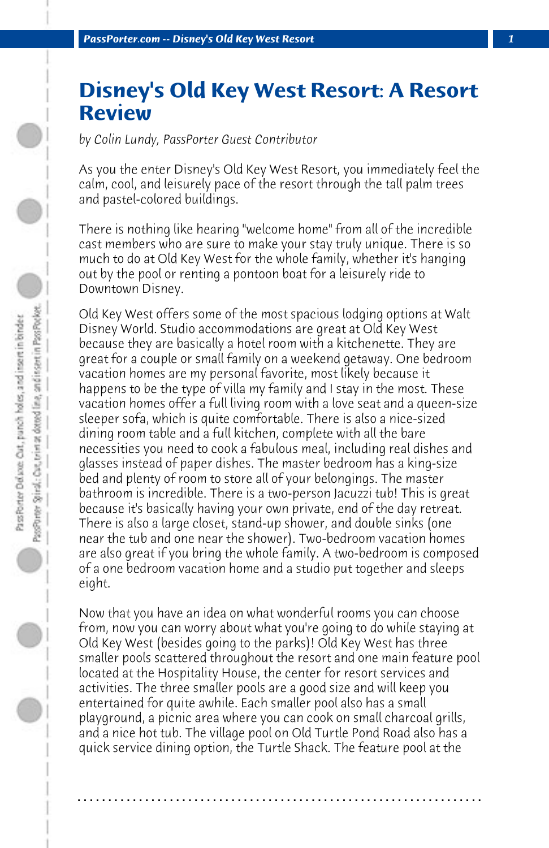## **Disney's Old Key West Resort: A Resort Review**

*by Colin Lundy, PassPorter Guest Contributor*

As you the enter Disney's Old Key West Resort, you immediately feel the calm, cool, and leisurely pace of the resort through the tall palm trees and pastel-colored buildings.

There is nothing like hearing "welcome home" from all of the incredible cast members who are sure to make your stay truly unique. There is so much to do at Old Key West for the whole family, whether it's hanging out by the pool or renting a pontoon boat for a leisurely ride to Downtown Disney.

Old Key West offers some of the most spacious lodging options at Walt Disney World. Studio accommodations are great at Old Key West because they are basically a hotel room with a kitchenette. They are great for a couple or small family on a weekend getaway. One bedroom vacation homes are my personal favorite, most likely because it happens to be the type of villa my family and I stay in the most. These vacation homes offer a full living room with a love seat and a queen-size sleeper sofa, which is quite comfortable. There is also a nice-sized dining room table and a full kitchen, complete with all the bare necessities you need to cook a fabulous meal, including real dishes and glasses instead of paper dishes. The master bedroom has a king-size bed and plenty of room to store all of your belongings. The master bathroom is incredible. There is a two-person Jacuzzi tub! This is great because it's basically having your own private, end of the day retreat. There is also a large closet, stand-up shower, and double sinks (one near the tub and one near the shower). Two-bedroom vacation homes are also great if you bring the whole family. A two-bedroom is composed of a one bedroom vacation home and a studio put together and sleeps eight.

Now that you have an idea on what wonderful rooms you can choose from, now you can worry about what you're going to do while staying at Old Key West (besides going to the parks)! Old Key West has three smaller pools scattered throughout the resort and one main feature pool located at the Hospitality House, the center for resort services and activities. The three smaller pools are a good size and will keep you entertained for quite awhile. Each smaller pool also has a small playground, a picnic area where you can cook on small charcoal grills, and a nice hot tub. The village pool on Old Turtle Pond Road also has a quick service dining option, the Turtle Shack. The feature pool at the

**. . . . . . . . . . . . . . . . . . . . . . . . . . . . . . . . . . . . . . . . . . . . . . . . . . . . . . . . . . . . . . . . . .**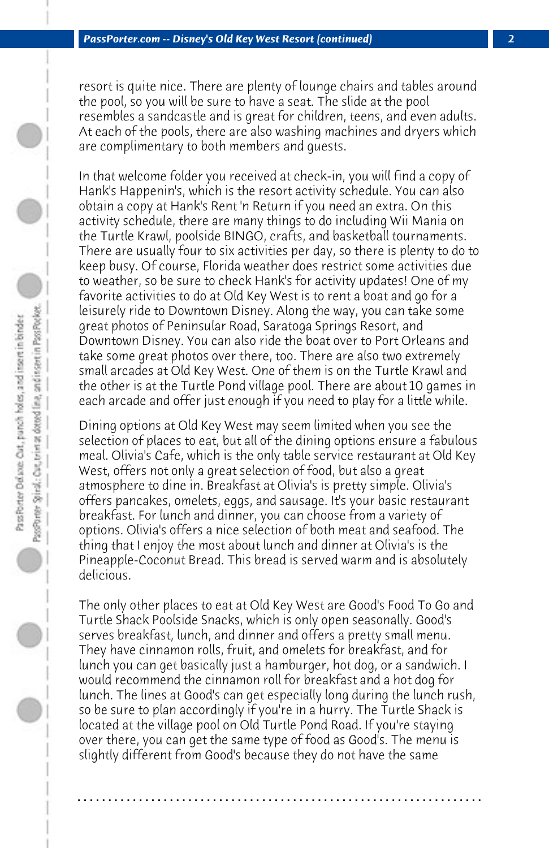resort is quite nice. There are plenty of lounge chairs and tables around the pool, so you will be sure to have a seat. The slide at the pool resembles a sandcastle and is great for children, teens, and even adults. At each of the pools, there are also washing machines and dryers which are complimentary to both members and guests.

In that welcome folder you received at check-in, you will find a copy of Hank's Happenin's, which is the resort activity schedule. You can also obtain a copy at Hank's Rent 'n Return if you need an extra. On this activity schedule, there are many things to do including Wii Mania on the Turtle Krawl, poolside BINGO, crafts, and basketball tournaments. There are usually four to six activities per day, so there is plenty to do to keep busy. Of course, Florida weather does restrict some activities due to weather, so be sure to check Hank's for activity updates! One of my favorite activities to do at Old Key West is to rent a boat and go for a leisurely ride to Downtown Disney. Along the way, you can take some great photos of Peninsular Road, Saratoga Springs Resort, and Downtown Disney. You can also ride the boat over to Port Orleans and take some great photos over there, too. There are also two extremely small arcades at Old Key West. One of them is on the Turtle Krawl and the other is at the Turtle Pond village pool. There are about 10 games in each arcade and offer just enough if you need to play for a little while.

Dining options at Old Key West may seem limited when you see the selection of places to eat, but all of the dining options ensure a fabulous meal. Olivia's Cafe, which is the only table service restaurant at Old Key West, offers not only a great selection of food, but also a great atmosphere to dine in. Breakfast at Olivia's is pretty simple. Olivia's offers pancakes, omelets, eggs, and sausage. It's your basic restaurant breakfast. For lunch and dinner, you can choose from a variety of options. Olivia's offers a nice selection of both meat and seafood. The thing that I enjoy the most about lunch and dinner at Olivia's is the Pineapple-Coconut Bread. This bread is served warm and is absolutely delicious.

The only other places to eat at Old Key West are Good's Food To Go and Turtle Shack Poolside Snacks, which is only open seasonally. Good's serves breakfast, lunch, and dinner and offers a pretty small menu. They have cinnamon rolls, fruit, and omelets for breakfast, and for lunch you can get basically just a hamburger, hot dog, or a sandwich. I would recommend the cinnamon roll for breakfast and a hot dog for lunch. The lines at Good's can get especially long during the lunch rush, so be sure to plan accordingly if you're in a hurry. The Turtle Shack is located at the village pool on Old Turtle Pond Road. If you're staying over there, you can get the same type of food as Good's. The menu is slightly different from Good's because they do not have the same

**. . . . . . . . . . . . . . . . . . . . . . . . . . . . . . . . . . . . . . . . . . . . . . . . . . . . . . . . . . . . . . . . . .**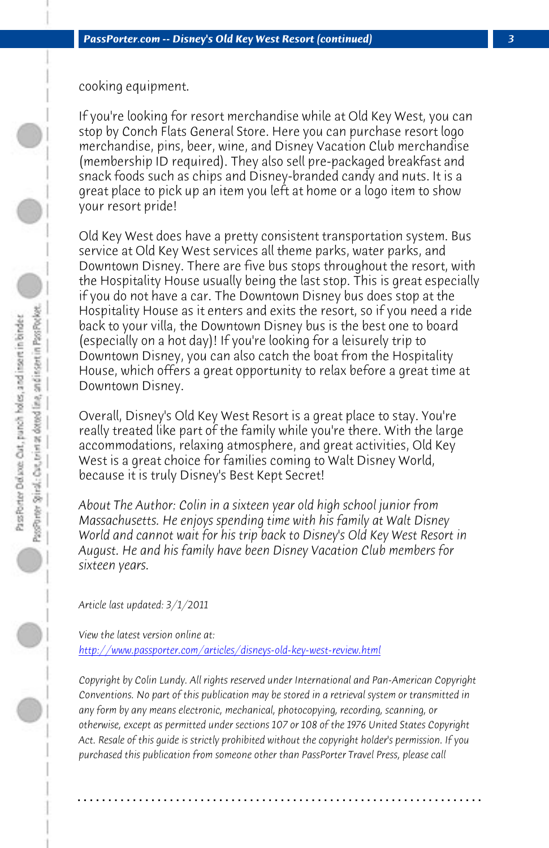cooking equipment.

If you're looking for resort merchandise while at Old Key West, you can stop by Conch Flats General Store. Here you can purchase resort logo merchandise, pins, beer, wine, and Disney Vacation Club merchandise (membership ID required). They also sell pre-packaged breakfast and snack foods such as chips and Disney-branded candy and nuts. It is a great place to pick up an item you left at home or a logo item to show your resort pride!

Old Key West does have a pretty consistent transportation system. Bus service at Old Key West services all theme parks, water parks, and Downtown Disney. There are five bus stops throughout the resort, with the Hospitality House usually being the last stop. This is great especially if you do not have a car. The Downtown Disney bus does stop at the Hospitality House as it enters and exits the resort, so if you need a ride back to your villa, the Downtown Disney bus is the best one to board (especially on a hot day)! If you're looking for a leisurely trip to Downtown Disney, you can also catch the boat from the Hospitality House, which offers a great opportunity to relax before a great time at Downtown Disney.

Overall, Disney's Old Key West Resort is a great place to stay. You're really treated like part of the family while you're there. With the large accommodations, relaxing atmosphere, and great activities, Old Key West is a great choice for families coming to Walt Disney World, because it is truly Disney's Best Kept Secret!

*About The Author: Colin in a sixteen year old high school junior from Massachusetts. He enjoys spending time with his family at Walt Disney World and cannot wait for his trip back to Disney's Old Key West Resort in August. He and his family have been Disney Vacation Club members for sixteen years.*

*Article last updated: 3/1/2011*

*View the latest version online at: http://www.passporter.com/articles/disneys-old-key-west-review.html*

*Copyright by Colin Lundy. All rights reserved under International and Pan-American Copyright Conventions. No part of this publication may be stored in a retrieval system or transmitted in any form by any means electronic, mechanical, photocopying, recording, scanning, or otherwise, except as permitted under sections 107 or 108 of the 1976 United States Copyright Act. Resale of this guide is strictly prohibited without the copyright holder's permission. If you purchased this publication from someone other than PassPorter Travel Press, please call*

**. . . . . . . . . . . . . . . . . . . . . . . . . . . . . . . . . . . . . . . . . . . . . . . . . . . . . . . . . . . . . . . . . .**